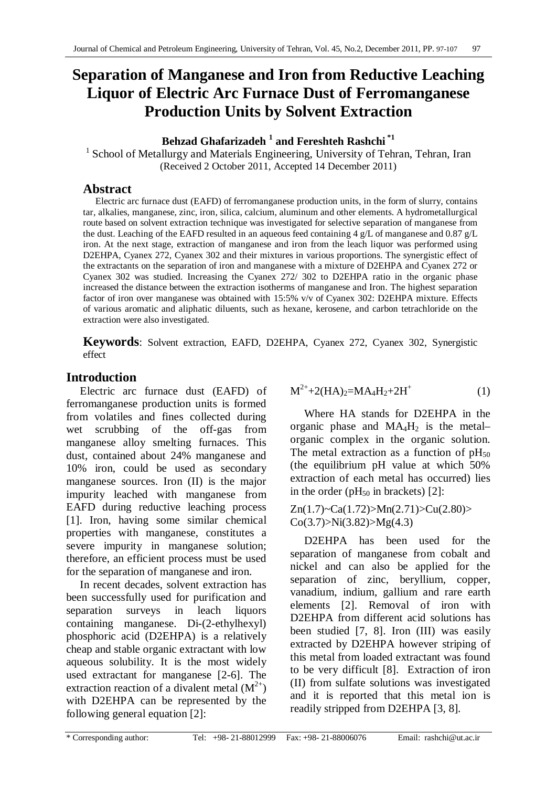# **Separation of Manganese and Iron from Reductive Leaching Liquor of Electric Arc Furnace Dust of Ferromanganese Production Units by Solvent Extraction**

**Behzad Ghafarizadeh 1 and Fereshteh Rashchi \*1**

<sup>1</sup> School of Metallurgy and Materials Engineering, University of Tehran, Tehran, Iran (Received 2 October 2011, Accepted 14 December 2011)

# **Abstract**

Electric arc furnace dust (EAFD) of ferromanganese production units, in the form of slurry, contains tar, alkalies, manganese, zinc, iron, silica, calcium, aluminum and other elements. A hydrometallurgical route based on solvent extraction technique was investigated for selective separation of manganese from the dust. Leaching of the EAFD resulted in an aqueous feed containing 4 g/L of manganese and 0.87 g/L iron. At the next stage, extraction of manganese and iron from the leach liquor was performed using D2EHPA, Cyanex 272, Cyanex 302 and their mixtures in various proportions. The synergistic effect of the extractants on the separation of iron and manganese with a mixture of D2EHPA and Cyanex 272 or Cyanex 302 was studied. Increasing the Cyanex 272/ 302 to D2EHPA ratio in the organic phase increased the distance between the extraction isotherms of manganese and Iron. The highest separation factor of iron over manganese was obtained with 15:5% v/v of Cyanex 302: D2EHPA mixture. Effects of various aromatic and aliphatic diluents, such as hexane, kerosene, and carbon tetrachloride on the extraction were also investigated.

**Keywords**: Solvent extraction, EAFD, D2EHPA, Cyanex 272, Cyanex 302, Synergistic effect

# **Introduction**

Electric arc furnace dust (EAFD) of ferromanganese production units is formed from volatiles and fines collected during wet scrubbing of the off-gas from manganese alloy smelting furnaces. This dust, contained about 24% manganese and 10% iron, could be used as secondary manganese sources. Iron (II) is the major impurity leached with manganese from EAFD during reductive leaching process [1]. Iron, having some similar chemical properties with manganese, constitutes a severe impurity in manganese solution; therefore, an efficient process must be used for the separation of manganese and iron.

In recent decades, solvent extraction has been successfully used for purification and separation surveys in leach liquors containing manganese. Di-(2-ethylhexyl) phosphoric acid (D2EHPA) is a relatively cheap and stable organic extractant with low aqueous solubility. It is the most widely used extractant for manganese [2-6]. The extraction reaction of a divalent metal  $(M^{2+})$ with D2EHPA can be represented by the following general equation [2]:

$$
M^{2+} + 2(HA)_2 = MA_4H_2 + 2H^+ \tag{1}
$$

Where HA stands for D2EHPA in the organic phase and  $MA<sub>4</sub>H<sub>2</sub>$  is the metalorganic complex in the organic solution. The metal extraction as a function of  $pH_{50}$ (the equilibrium pH value at which 50% extraction of each metal has occurred) lies in the order ( $pH<sub>50</sub>$  in brackets) [2]:

 $Zn(1.7)$ ~Ca(1.72)>Mn(2.71)>Cu(2.80)>  $Co(3.7) > Ni(3.82) > Mg(4.3)$ 

D2EHPA has been used for the separation of manganese from cobalt and nickel and can also be applied for the separation of zinc, beryllium, copper, vanadium, indium, gallium and rare earth elements [2]. Removal of iron with D2EHPA from different acid solutions has been studied [7, 8]. Iron (III) was easily extracted by D2EHPA however striping of this metal from loaded extractant was found to be very difficult [8]. Extraction of iron (II) from sulfate solutions was investigated and it is reported that this metal ion is readily stripped from D2EHPA [3, 8].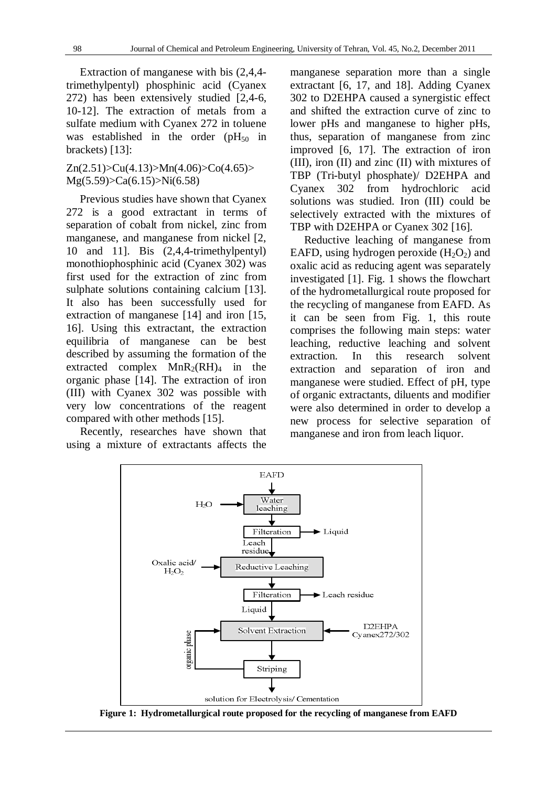Extraction of manganese with bis (2,4,4 trimethylpentyl) phosphinic acid (Cyanex 272) has been extensively studied [2,4-6, 10-12]. The extraction of metals from a sulfate medium with Cyanex 272 in toluene was established in the order  $(pH<sub>50</sub>$  in brackets) [13]:

#### $Zn(2.51) > Cu(4.13) > Mn(4.06) > Co(4.65) >$ Mg(5.59)>Ca(6.15)>Ni(6.58)

Previous studies have shown that Cyanex 272 is a good extractant in terms of separation of cobalt from nickel, zinc from manganese, and manganese from nickel [2, 10 and 11]. Bis (2,4,4-trimethylpentyl) monothiophosphinic acid (Cyanex 302) was first used for the extraction of zinc from sulphate solutions containing calcium [13]. It also has been successfully used for extraction of manganese [14] and iron [15, 16]. Using this extractant, the extraction equilibria of manganese can be best described by assuming the formation of the extracted complex  $MnR_2(RH)_4$  in the organic phase [14]. The extraction of iron (III) with Cyanex 302 was possible with very low concentrations of the reagent compared with other methods [15].

Recently, researches have shown that using a mixture of extractants affects the

manganese separation more than a single extractant [6, 17, and 18]. Adding Cyanex 302 to D2EHPA caused a synergistic effect and shifted the extraction curve of zinc to lower pHs and manganese to higher pHs, thus, separation of manganese from zinc improved [6, 17]. The extraction of iron (III), iron (II) and zinc (II) with mixtures of TBP (Tri-butyl phosphate)/ D2EHPA and Cyanex 302 from hydrochloric acid solutions was studied. Iron (III) could be selectively extracted with the mixtures of TBP with D2EHPA or Cyanex 302 [16].

Reductive leaching of manganese from EAFD, using hydrogen peroxide  $(H_2O_2)$  and oxalic acid as reducing agent was separately investigated [1]. Fig. 1 shows the flowchart of the hydrometallurgical route proposed for the recycling of manganese from EAFD. As it can be seen from Fig. 1, this route comprises the following main steps: water leaching, reductive leaching and solvent extraction. In this research solvent extraction and separation of iron and manganese were studied. Effect of pH, type of organic extractants, diluents and modifier were also determined in order to develop a new process for selective separation of manganese and iron from leach liquor.



**Figure 1: Hydrometallurgical route proposed for the recycling of manganese from EAFD**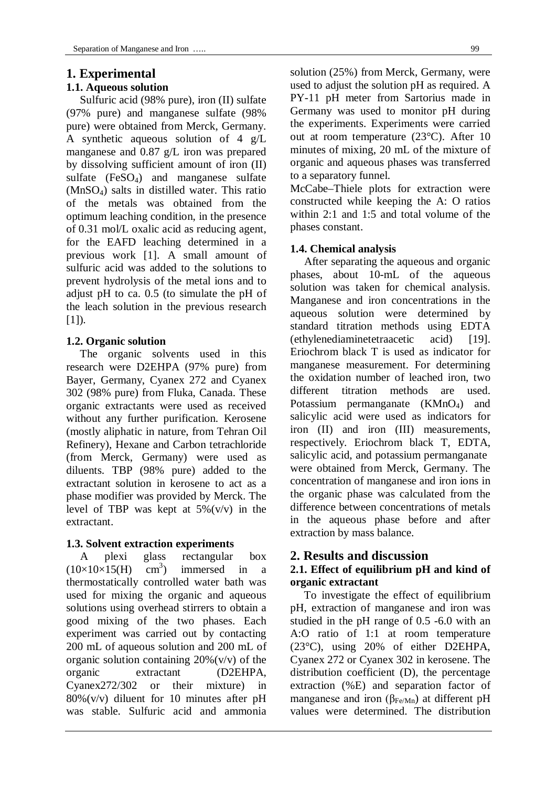## **1. Experimental**

## **1.1. Aqueous solution**

Sulfuric acid (98% pure), iron (II) sulfate (97% pure) and manganese sulfate (98% pure) were obtained from Merck, Germany. A synthetic aqueous solution of 4 g/L manganese and 0.87 g/L iron was prepared by dissolving sufficient amount of iron (II) sulfate  $(FeSO_4)$  and manganese sulfate (MnSO4) salts in distilled water. This ratio of the metals was obtained from the optimum leaching condition, in the presence of 0.31 mol/L oxalic acid as reducing agent, for the EAFD leaching determined in a previous work [1]. A small amount of sulfuric acid was added to the solutions to prevent hydrolysis of the metal ions and to adjust pH to ca. 0.5 (to simulate the pH of the leach solution in the previous research  $[1]$ ).

## **1.2. Organic solution**

The organic solvents used in this research were D2EHPA (97% pure) from Bayer, Germany, Cyanex 272 and Cyanex 302 (98% pure) from Fluka, Canada. These organic extractants were used as received without any further purification. Kerosene (mostly aliphatic in nature, from Tehran Oil Refinery), Hexane and Carbon tetrachloride (from Merck, Germany) were used as diluents. TBP (98% pure) added to the extractant solution in kerosene to act as a phase modifier was provided by Merck. The level of TBP was kept at  $5\%$  (v/v) in the extractant.

## **1.3. Solvent extraction experiments**

A plexi glass rectangular box  $(10\times10\times15)$  $\text{cm}^3$ ) ) immersed in a thermostatically controlled water bath was used for mixing the organic and aqueous solutions using overhead stirrers to obtain a good mixing of the two phases. Each experiment was carried out by contacting 200 mL of aqueous solution and 200 mL of organic solution containing  $20\%$  (v/v) of the organic extractant (D2EHPA, Cyanex272/302 or their mixture) in 80%(v/v) diluent for 10 minutes after pH was stable. Sulfuric acid and ammonia

solution (25%) from Merck, Germany, were used to adjust the solution pH as required. A PY-11 pH meter from Sartorius made in Germany was used to monitor pH during the experiments. Experiments were carried out at room temperature (23°C). After 10 minutes of mixing, 20 mL of the mixture of organic and aqueous phases was transferred to a separatory funnel.

McCabe–Thiele plots for extraction were constructed while keeping the A: O ratios within 2:1 and 1:5 and total volume of the phases constant.

## **1.4. Chemical analysis**

After separating the aqueous and organic phases, about 10-mL of the aqueous solution was taken for chemical analysis. Manganese and iron concentrations in the aqueous solution were determined by standard titration methods using EDTA (ethylenediaminetetraacetic acid) [19]. Eriochrom black T is used as indicator for manganese measurement. For determining the oxidation number of leached iron, two different titration methods are used. Potassium permanganate (KMnO<sub>4</sub>) and salicylic acid were used as indicators for iron (II) and iron (III) measurements, respectively. Eriochrom black T, EDTA, salicylic acid, and potassium permanganate were obtained from Merck, Germany. The concentration of manganese and iron ions in the organic phase was calculated from the difference between concentrations of metals in the aqueous phase before and after extraction by mass balance.

## **2. Results and discussion**

## **2.1. Effect of equilibrium pH and kind of organic extractant**

To investigate the effect of equilibrium pH, extraction of manganese and iron was studied in the pH range of 0.5 -6.0 with an A:O ratio of 1:1 at room temperature (23°C), using 20% of either D2EHPA, Cyanex 272 or Cyanex 302 in kerosene. The distribution coefficient (D), the percentage extraction (%E) and separation factor of manganese and iron ( $\beta_{Fe/Mn}$ ) at different pH values were determined. The distribution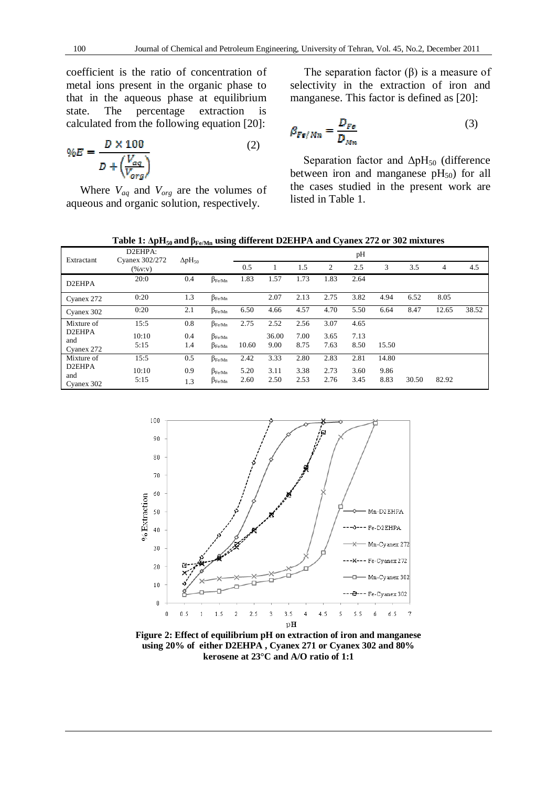coefficient is the ratio of concentration of metal ions present in the organic phase to that in the aqueous phase at equilibrium state. The percentage extraction is calculated from the following equation [20]:

$$
\%E = \frac{D \times 100}{D + \left(\frac{V_{aq}}{V_{org}}\right)}\tag{2}
$$

Where *Vaq* and *Vorg* are the volumes of aqueous and organic solution, respectively.

The separation factor  $(\beta)$  is a measure of selectivity in the extraction of iron and manganese. This factor is defined as [20]:

$$
\beta_{Fe/Mn} = \frac{D_{Fe}}{D_{Mn}}\tag{3}
$$

Separation factor and  $\Delta pH_{50}$  (difference between iron and manganese  $pH_{50}$ ) for all the cases studied in the present work are listed in Table 1.

**Table 1: ΔpH<sup>50</sup> and βFe/Mn using different D2EHPA and Cyanex 272 or 302 mixtures**

| Extractant                 | D2EHPA:<br>Cyanex 302/272<br>$(\%$ v:v) | $\Delta$ pH <sub>50</sub> |                      |       |       |      |      | pH   |       |       |       |       |
|----------------------------|-----------------------------------------|---------------------------|----------------------|-------|-------|------|------|------|-------|-------|-------|-------|
|                            |                                         |                           |                      | 0.5   |       | 1.5  | 2    | 2.5  | 3     | 3.5   | 4     | 4.5   |
| D <sub>2</sub> EHPA        | 20:0                                    | 0.4                       | $\beta_{\rm Fe/Min}$ | 1.83  | 1.57  | 1.73 | 1.83 | 2.64 |       |       |       |       |
| Cyanex 272                 | 0:20                                    | 1.3                       | $\beta_{\rm Fe/Min}$ |       | 2.07  | 2.13 | 2.75 | 3.82 | 4.94  | 6.52  | 8.05  |       |
| Cyanex 302                 | 0:20                                    | 2.1                       | $\beta_{\rm Fe/Min}$ | 6.50  | 4.66  | 4.57 | 4.70 | 5.50 | 6.64  | 8.47  | 12.65 | 38.52 |
| Mixture of                 | 15:5                                    | 0.8                       | $\beta_{Fe/Mn}$      | 2.75  | 2.52  | 2.56 | 3.07 | 4.65 |       |       |       |       |
| D <sub>2</sub> EHPA<br>and | 10:10                                   | 0.4                       | $\beta_{\rm Fe/Min}$ |       | 36.00 | 7.00 | 3.65 | 7.13 |       |       |       |       |
| Cyanex 272                 | 5:15                                    | 1.4                       | $\beta_{Fe/Mn}$      | 10.60 | 9.00  | 8.75 | 7.63 | 8.50 | 15.50 |       |       |       |
| Mixture of                 | 15:5                                    | 0.5                       | $\beta_{\rm Fe/Min}$ | 2.42  | 3.33  | 2.80 | 2.83 | 2.81 | 14.80 |       |       |       |
| D2EHPA                     | 10:10                                   | 0.9                       | $\beta_{Fe/Mn}$      | 5.20  | 3.11  | 3.38 | 2.73 | 3.60 | 9.86  |       |       |       |
| and<br>Cyanex 302          | 5:15                                    | 1.3                       | $\beta_{\rm Fe/Min}$ | 2.60  | 2.50  | 2.53 | 2.76 | 3.45 | 8.83  | 30.50 | 82.92 |       |



**Figure 2: Effect of equilibrium pH on extraction of iron and manganese using 20% of either D2EHPA , Cyanex 271 or Cyanex 302 and 80% kerosene at 23°C and A/O ratio of 1:1**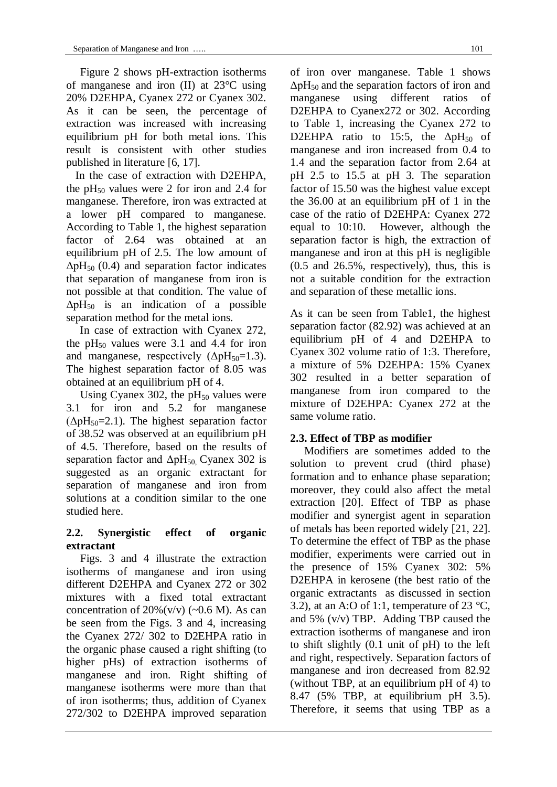Figure 2 shows pH-extraction isotherms of manganese and iron (II) at 23°C using 20% D2EHPA, Cyanex 272 or Cyanex 302. As it can be seen, the percentage of extraction was increased with increasing equilibrium pH for both metal ions. This result is consistent with other studies published in literature [6, 17].

In the case of extraction with D2EHPA, the  $pH_{50}$  values were 2 for iron and 2.4 for manganese. Therefore, iron was extracted at a lower pH compared to manganese. According to Table 1, the highest separation factor of 2.64 was obtained at an equilibrium pH of 2.5. The low amount of  $\Delta pH_{50}$  (0.4) and separation factor indicates that separation of manganese from iron is not possible at that condition. The value of  $\Delta pH_{50}$  is an indication of a possible separation method for the metal ions.

In case of extraction with Cyanex 272, the  $pH_{50}$  values were 3.1 and 4.4 for iron and manganese, respectively  $(\Delta pH_{50}=1.3)$ . The highest separation factor of 8.05 was obtained at an equilibrium pH of 4.

Using Cyanex 302, the  $pH_{50}$  values were 3.1 for iron and 5.2 for manganese  $(\Delta pH_{50}=2.1)$ . The highest separation factor of 38.52 was observed at an equilibrium pH of 4.5. Therefore, based on the results of separation factor and  $\Delta pH_{50}$  Cyanex 302 is suggested as an organic extractant for separation of manganese and iron from solutions at a condition similar to the one studied here.

## **2.2. Synergistic effect of organic extractant**

Figs. 3 and 4 illustrate the extraction isotherms of manganese and iron using different D2EHPA and Cyanex 272 or 302 mixtures with a fixed total extractant concentration of  $20\%$  (v/v) (~0.6 M). As can be seen from the Figs. 3 and 4, increasing the Cyanex 272/ 302 to D2EHPA ratio in the organic phase caused a right shifting (to higher pHs) of extraction isotherms of manganese and iron. Right shifting of manganese isotherms were more than that of iron isotherms; thus, addition of Cyanex 272/302 to D2EHPA improved separation

of iron over manganese. Table 1 shows  $\Delta pH_{50}$  and the separation factors of iron and manganese using different ratios of D2EHPA to Cyanex272 or 302. According to Table 1, increasing the Cyanex 272 to D2EHPA ratio to 15:5, the  $\Delta pH_{50}$  of manganese and iron increased from 0.4 to 1.4 and the separation factor from 2.64 at pH 2.5 to 15.5 at pH 3. The separation factor of 15.50 was the highest value except the 36.00 at an equilibrium pH of 1 in the case of the ratio of D2EHPA: Cyanex 272 equal to 10:10. However, although the separation factor is high, the extraction of manganese and iron at this pH is negligible (0.5 and 26.5%, respectively), thus, this is not a suitable condition for the extraction and separation of these metallic ions.

As it can be seen from Table1, the highest separation factor (82.92) was achieved at an equilibrium pH of 4 and D2EHPA to Cyanex 302 volume ratio of 1:3. Therefore, a mixture of 5% D2EHPA: 15% Cyanex 302 resulted in a better separation of manganese from iron compared to the mixture of D2EHPA: Cyanex 272 at the same volume ratio.

## **2.3. Effect of TBP as modifier**

Modifiers are sometimes added to the solution to prevent crud (third phase) formation and to enhance phase separation; moreover, they could also affect the metal extraction [20]. Effect of TBP as phase modifier and synergist agent in separation of metals has been reported widely [21, 22]. To determine the effect of TBP as the phase modifier, experiments were carried out in the presence of 15% Cyanex 302: 5% D2EHPA in kerosene (the best ratio of the organic extractants as discussed in section 3.2), at an A:O of 1:1, temperature of 23  $^{\circ}C$ , and 5% (v/v) TBP. Adding TBP caused the extraction isotherms of manganese and iron to shift slightly (0.1 unit of pH) to the left and right, respectively. Separation factors of manganese and iron decreased from 82.92 (without TBP, at an equilibrium pH of 4) to 8.47 (5% TBP, at equilibrium pH 3.5). Therefore, it seems that using TBP as a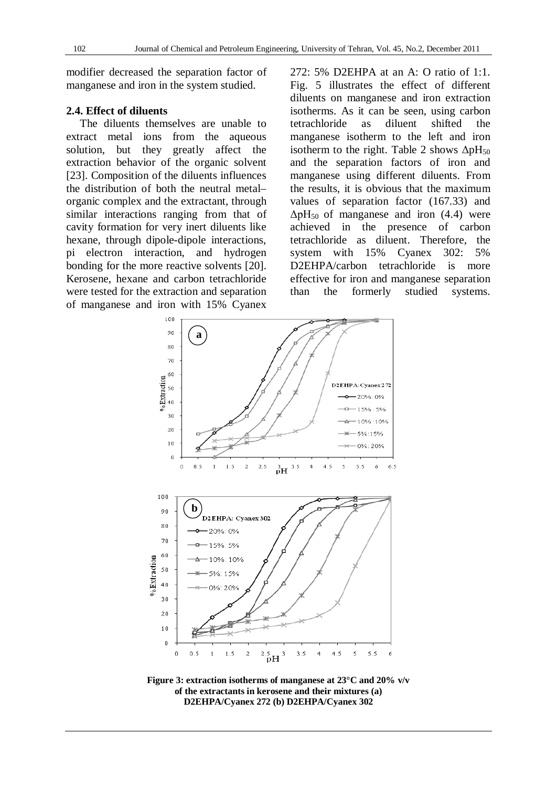modifier decreased the separation factor of manganese and iron in the system studied.

## **2.4. Effect of diluents**

The diluents themselves are unable to extract metal ions from the aqueous solution, but they greatly affect the extraction behavior of the organic solvent [23]. Composition of the diluents influences the distribution of both the neutral metal– organic complex and the extractant, through similar interactions ranging from that of cavity formation for very inert diluents like hexane, through dipole-dipole interactions, pi electron interaction, and hydrogen bonding for the more reactive solvents [20]. Kerosene, hexane and carbon tetrachloride were tested for the extraction and separation of manganese and iron with 15% Cyanex

272: 5% D2EHPA at an A: O ratio of 1:1. Fig. 5 illustrates the effect of different diluents on manganese and iron extraction isotherms. As it can be seen, using carbon tetrachloride as diluent shifted the manganese isotherm to the left and iron isotherm to the right. Table 2 shows  $\Delta pH_{50}$ and the separation factors of iron and manganese using different diluents. From the results, it is obvious that the maximum values of separation factor (167.33) and  $\Delta pH_{50}$  of manganese and iron (4.4) were achieved in the presence of carbon tetrachloride as diluent. Therefore, the system with 15% Cyanex 302: 5% D2EHPA/carbon tetrachloride is more effective for iron and manganese separation than the formerly studied systems.



**Figure 3: extraction isotherms of manganese at 23°C and 20% v/v of the extractants in kerosene and their mixtures (a) D2EHPA/Cyanex 272 (b) D2EHPA/Cyanex 302**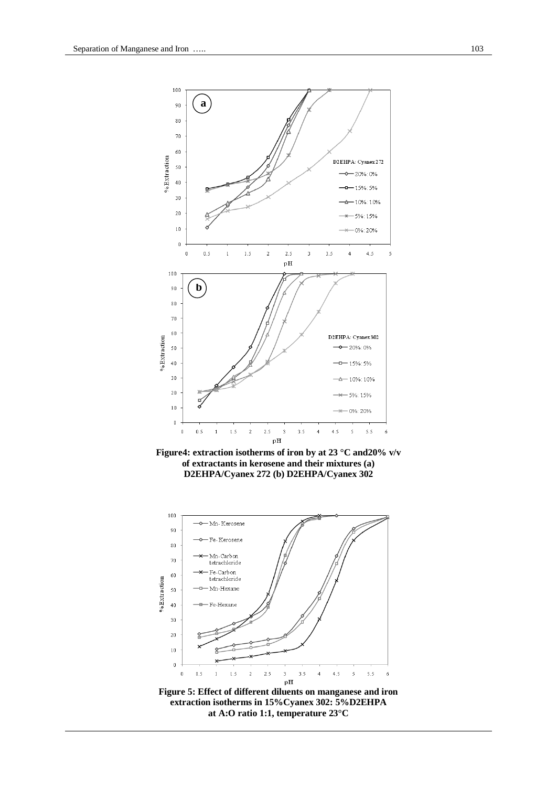

**Figure4: extraction isotherms of iron by at 23 °C and20% v/v of extractants in kerosene and their mixtures (a) D2EHPA/Cyanex 272 (b) D2EHPA/Cyanex 302**



**at A:O ratio 1:1, temperature 23°C**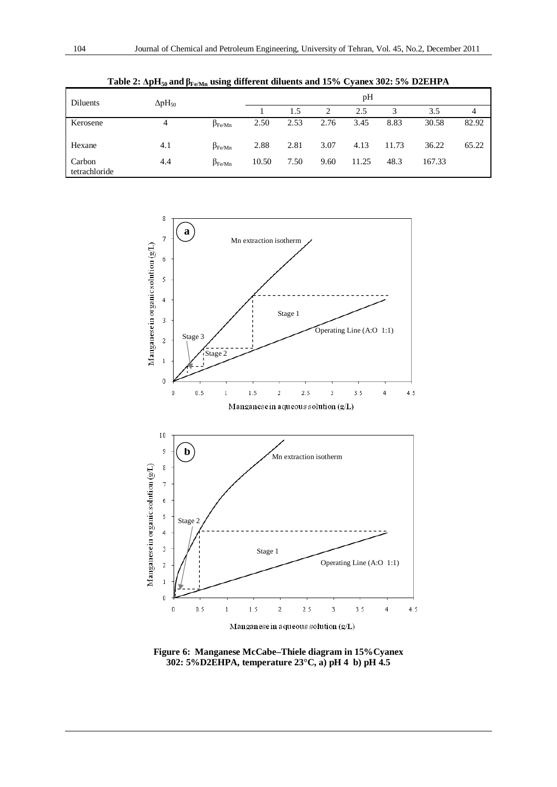| Diluents                | $\Delta$ p $H_{50}$ |                 | pH    |      |      |       |       |        |       |  |
|-------------------------|---------------------|-----------------|-------|------|------|-------|-------|--------|-------|--|
|                         |                     |                 |       | 1.5  | 2    | 2.5   | 3     | 3.5    | 4     |  |
| Kerosene                | 4                   | $\beta_{Fe/Mn}$ | 2.50  | 2.53 | 2.76 | 3.45  | 8.83  | 30.58  | 82.92 |  |
| Hexane                  | 4.1                 | $\beta_{Fe/Mn}$ | 2.88  | 2.81 | 3.07 | 4.13  | 11.73 | 36.22  | 65.22 |  |
| Carbon<br>tetrachloride | 4.4                 | $\beta_{Fe/Mn}$ | 10.50 | 7.50 | 9.60 | 11.25 | 48.3  | 167.33 |       |  |

**Table 2: ΔpH<sup>50</sup> and βFe/Mn using different diluents and 15% Cyanex 302: 5% D2EHPA**



**Figure 6: Manganese McCabe–Thiele diagram in 15%Cyanex 302: 5%D2EHPA, temperature 23°C, a) pH 4 b) pH 4.5**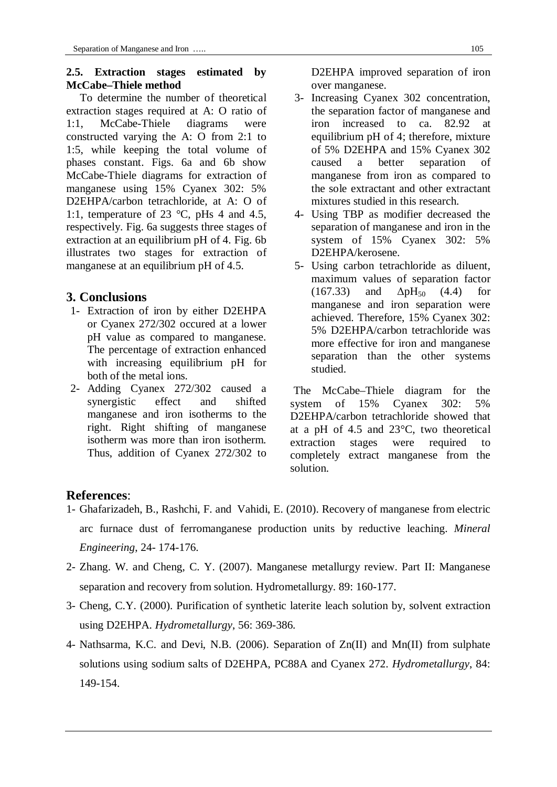## **2.5. Extraction stages estimated by McCabe–Thiele method**

To determine the number of theoretical extraction stages required at A: O ratio of 1:1, McCabe-Thiele diagrams were constructed varying the A: O from 2:1 to 1:5, while keeping the total volume of phases constant. Figs. 6a and 6b show McCabe-Thiele diagrams for extraction of manganese using 15% Cyanex 302: 5% D2EHPA/carbon tetrachloride, at A: O of 1:1, temperature of 23 °C, pHs 4 and 4.5, respectively. Fig. 6a suggests three stages of extraction at an equilibrium pH of 4. Fig. 6b illustrates two stages for extraction of manganese at an equilibrium pH of 4.5.

# **3. Conclusions**

- 1- Extraction of iron by either D2EHPA or Cyanex 272/302 occured at a lower pH value as compared to manganese. The percentage of extraction enhanced with increasing equilibrium pH for both of the metal ions.
- 2- Adding Cyanex 272/302 caused a synergistic effect and shifted manganese and iron isotherms to the right. Right shifting of manganese isotherm was more than iron isotherm. Thus, addition of Cyanex 272/302 to

D2EHPA improved separation of iron over manganese.

- 3- Increasing Cyanex 302 concentration, the separation factor of manganese and iron increased to ca. 82.92 at equilibrium pH of 4; therefore, mixture of 5% D2EHPA and 15% Cyanex 302 caused a better separation of manganese from iron as compared to the sole extractant and other extractant mixtures studied in this research.
- 4- Using TBP as modifier decreased the separation of manganese and iron in the system of 15% Cyanex 302: 5% D2EHPA/kerosene.
- 5- Using carbon tetrachloride as diluent, maximum values of separation factor  $(167.33)$  and  $\Delta pH_{50}$   $(4.4)$  for manganese and iron separation were achieved. Therefore, 15% Cyanex 302: 5% D2EHPA/carbon tetrachloride was more effective for iron and manganese separation than the other systems studied.

The McCabe–Thiele diagram for the system of 15% Cyanex 302: 5% D2EHPA/carbon tetrachloride showed that at a pH of 4.5 and 23°C, two theoretical extraction stages were required to completely extract manganese from the solution.

# **References**:

- 1- Ghafarizadeh, B., Rashchi, F. and Vahidi, E. (2010). Recovery of manganese from electric arc furnace dust of ferromanganese production units by reductive leaching. *Mineral Engineering*, 24- 174-176.
- 2- Zhang. W. and Cheng, C. Y. (2007). Manganese metallurgy review. Part II: Manganese separation and recovery from solution. Hydrometallurgy. 89: 160-177.
- 3- Cheng, C.Y. (2000). Purification of synthetic laterite leach solution by, solvent extraction using D2EHPA. *Hydrometallurgy*, 56: 369-386.
- 4- Nathsarma, K.C. and Devi, N.B. (2006). Separation of Zn(II) and Mn(II) from sulphate solutions using sodium salts of D2EHPA, PC88A and Cyanex 272. *Hydrometallurgy*, 84: 149-154.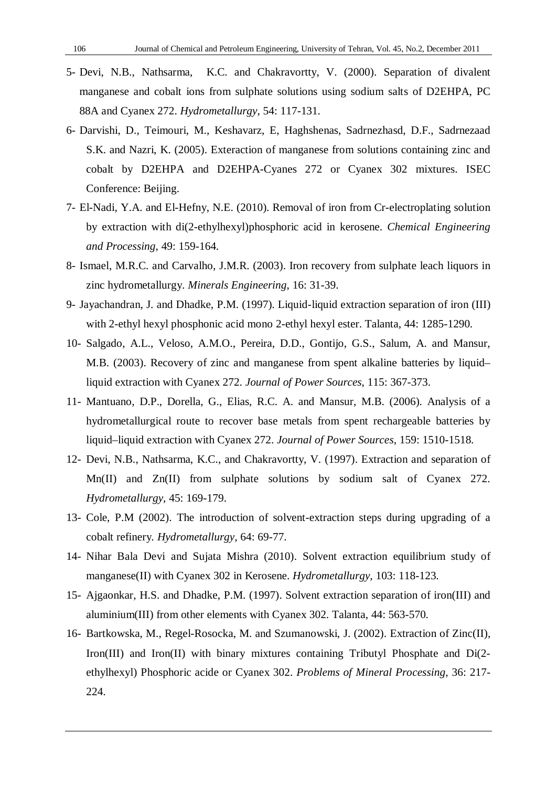- 5- Devi, N.B., Nathsarma, K.C. and Chakravortty, V. (2000). Separation of divalent manganese and cobalt ions from sulphate solutions using sodium salts of D2EHPA, PC 88A and Cyanex 272. *Hydrometallurgy*, 54: 117-131.
- 6- Darvishi, D., Teimouri, M., Keshavarz, E, Haghshenas, Sadrnezhasd, D.F., Sadrnezaad S.K. and Nazri, K. (2005). Exteraction of manganese from solutions containing zinc and cobalt by D2EHPA and D2EHPA-Cyanes 272 or Cyanex 302 mixtures. ISEC Conference: Beijing.
- 7- El-Nadi, Y.A. and El-Hefny, N.E. (2010). Removal of iron from Cr-electroplating solution by extraction with di(2-ethylhexyl)phosphoric acid in kerosene. *Chemical Engineering and Processing*, 49: 159-164.
- 8- Ismael, M.R.C. and Carvalho, J.M.R. (2003). Iron recovery from sulphate leach liquors in zinc hydrometallurgy. *Minerals Engineering*, 16: 31-39.
- 9- Jayachandran, J. and Dhadke, P.M. (1997). Liquid-liquid extraction separation of iron (III) with 2-ethyl hexyl phosphonic acid mono 2-ethyl hexyl ester. Talanta, 44: 1285-1290.
- 10- Salgado, A.L., Veloso, A.M.O., Pereira, D.D., Gontijo, G.S., Salum, A. and Mansur, M.B. (2003). Recovery of zinc and manganese from spent alkaline batteries by liquid– liquid extraction with Cyanex 272. *Journal of Power Sources*, 115: 367-373.
- 11- Mantuano, D.P., Dorella, G., Elias, R.C. A. and Mansur, M.B. (2006). Analysis of a hydrometallurgical route to recover base metals from spent rechargeable batteries by liquid–liquid extraction with Cyanex 272. *Journal of Power Sources*, 159: 1510-1518.
- 12- Devi, N.B., Nathsarma, K.C., and Chakravortty, V. (1997). Extraction and separation of Mn(II) and Zn(II) from sulphate solutions by sodium salt of Cyanex 272. *Hydrometallurgy*, 45: 169-179.
- 13- Cole, P.M (2002). The introduction of solvent-extraction steps during upgrading of a cobalt refinery*. Hydrometallurgy*, 64: 69-77.
- 14- Nihar Bala Devi and Sujata Mishra (2010). Solvent extraction equilibrium study of manganese(II) with Cyanex 302 in Kerosene. *Hydrometallurgy,* 103: 118-123.
- 15- Ajgaonkar, H.S. and Dhadke, P.M. (1997). Solvent extraction separation of iron(III) and aluminium(III) from other elements with Cyanex 302. Talanta, 44: 563-570.
- 16- Bartkowska, M., Regel-Rosocka, M. and Szumanowski, J. (2002). Extraction of Zinc(II), Iron(III) and Iron(II) with binary mixtures containing Tributyl Phosphate and Di(2ethylhexyl) Phosphoric acide or Cyanex 302. *Problems of Mineral Processing*, 36: 217- 224.